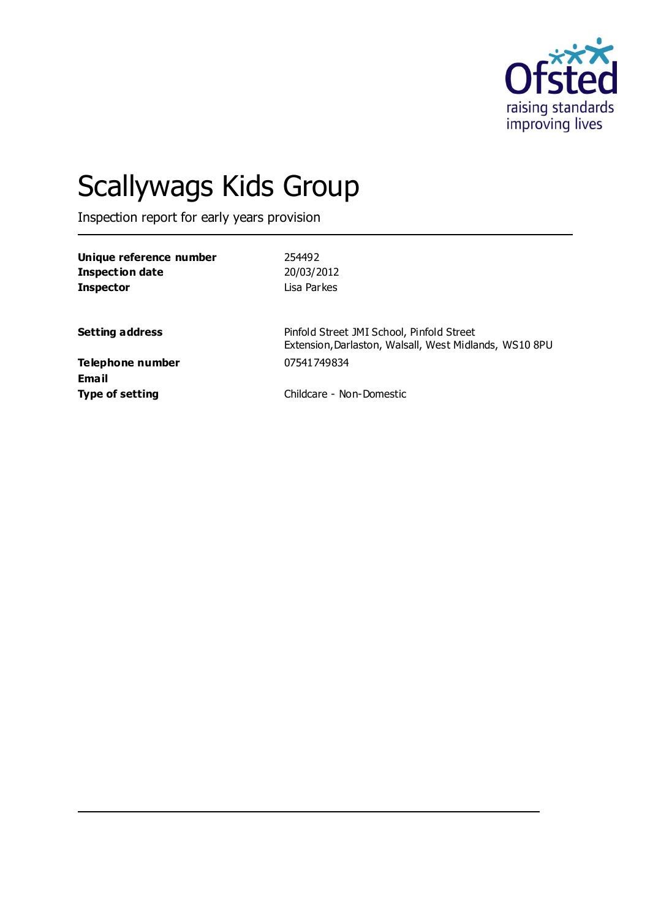

# Scallywags Kids Group

Inspection report for early years provision

| Unique reference number<br><b>Inspection date</b><br><b>Inspector</b> | 254492<br>20/03/2012<br>Lisa Parkes                                                                 |
|-----------------------------------------------------------------------|-----------------------------------------------------------------------------------------------------|
| <b>Setting address</b>                                                | Pinfold Street JMI School, Pinfold Street<br>Extension, Darlaston, Walsall, West Midlands, WS10 8PU |
| Telephone number<br>Email                                             | 07541749834                                                                                         |
| <b>Type of setting</b>                                                | Childcare - Non-Domestic                                                                            |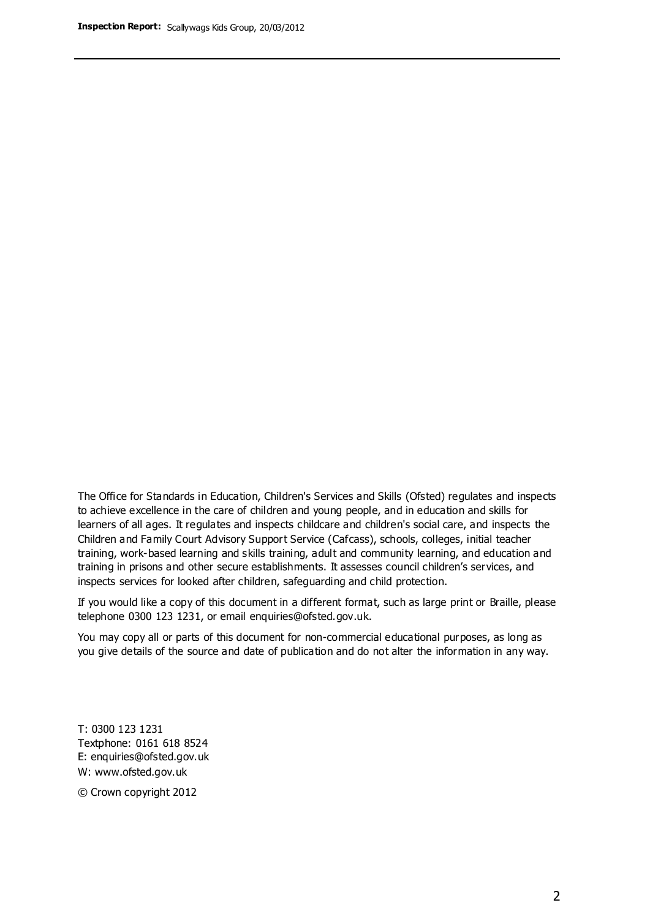The Office for Standards in Education, Children's Services and Skills (Ofsted) regulates and inspects to achieve excellence in the care of children and young people, and in education and skills for learners of all ages. It regulates and inspects childcare and children's social care, and inspects the Children and Family Court Advisory Support Service (Cafcass), schools, colleges, initial teacher training, work-based learning and skills training, adult and community learning, and education and training in prisons and other secure establishments. It assesses council children's services, and inspects services for looked after children, safeguarding and child protection.

If you would like a copy of this document in a different format, such as large print or Braille, please telephone 0300 123 1231, or email enquiries@ofsted.gov.uk.

You may copy all or parts of this document for non-commercial educational purposes, as long as you give details of the source and date of publication and do not alter the information in any way.

T: 0300 123 1231 Textphone: 0161 618 8524 E: enquiries@ofsted.gov.uk W: [www.ofsted.gov.uk](http://www.ofsted.gov.uk/)

© Crown copyright 2012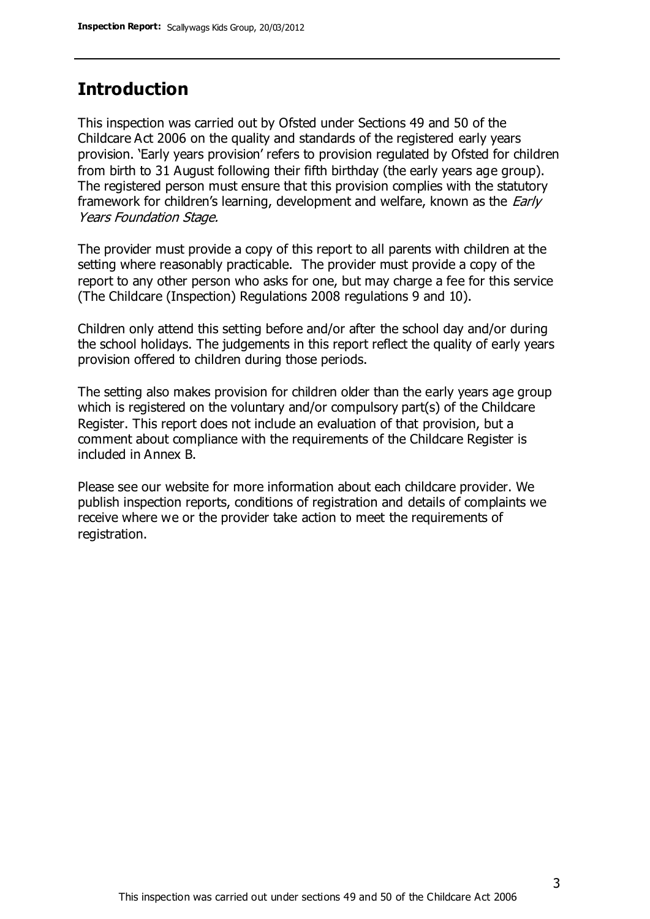## **Introduction**

This inspection was carried out by Ofsted under Sections 49 and 50 of the Childcare Act 2006 on the quality and standards of the registered early years provision. 'Early years provision' refers to provision regulated by Ofsted for children from birth to 31 August following their fifth birthday (the early years age group). The registered person must ensure that this provision complies with the statutory framework for children's learning, development and welfare, known as the *Early* Years Foundation Stage.

The provider must provide a copy of this report to all parents with children at the setting where reasonably practicable. The provider must provide a copy of the report to any other person who asks for one, but may charge a fee for this service (The Childcare (Inspection) Regulations 2008 regulations 9 and 10).

Children only attend this setting before and/or after the school day and/or during the school holidays. The judgements in this report reflect the quality of early years provision offered to children during those periods.

The setting also makes provision for children older than the early years age group which is registered on the voluntary and/or compulsory part(s) of the Childcare Register. This report does not include an evaluation of that provision, but a comment about compliance with the requirements of the Childcare Register is included in Annex B.

Please see our website for more information about each childcare provider. We publish inspection reports, conditions of registration and details of complaints we receive where we or the provider take action to meet the requirements of registration.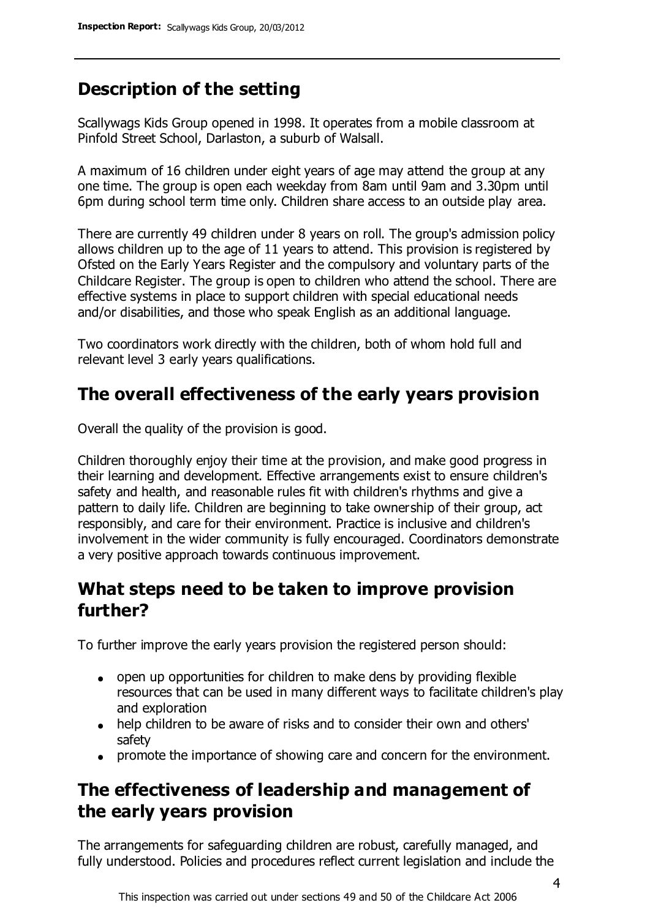# **Description of the setting**

Scallywags Kids Group opened in 1998. It operates from a mobile classroom at Pinfold Street School, Darlaston, a suburb of Walsall.

A maximum of 16 children under eight years of age may attend the group at any one time. The group is open each weekday from 8am until 9am and 3.30pm until 6pm during school term time only. Children share access to an outside play area.

There are currently 49 children under 8 years on roll. The group's admission policy allows children up to the age of 11 years to attend. This provision is registered by Ofsted on the Early Years Register and the compulsory and voluntary parts of the Childcare Register. The group is open to children who attend the school. There are effective systems in place to support children with special educational needs and/or disabilities, and those who speak English as an additional language.

Two coordinators work directly with the children, both of whom hold full and relevant level 3 early years qualifications.

# **The overall effectiveness of the early years provision**

Overall the quality of the provision is good.

Children thoroughly enjoy their time at the provision, and make good progress in their learning and development. Effective arrangements exist to ensure children's safety and health, and reasonable rules fit with children's rhythms and give a pattern to daily life. Children are beginning to take ownership of their group, act responsibly, and care for their environment. Practice is inclusive and children's involvement in the wider community is fully encouraged. Coordinators demonstrate a very positive approach towards continuous improvement.

## **What steps need to be taken to improve provision further?**

To further improve the early years provision the registered person should:

- open up opportunities for children to make dens by providing flexible resources that can be used in many different ways to facilitate children's play and exploration
- help children to be aware of risks and to consider their own and others' safety
- promote the importance of showing care and concern for the environment.

# **The effectiveness of leadership and management of the early years provision**

The arrangements for safeguarding children are robust, carefully managed, and fully understood. Policies and procedures reflect current legislation and include the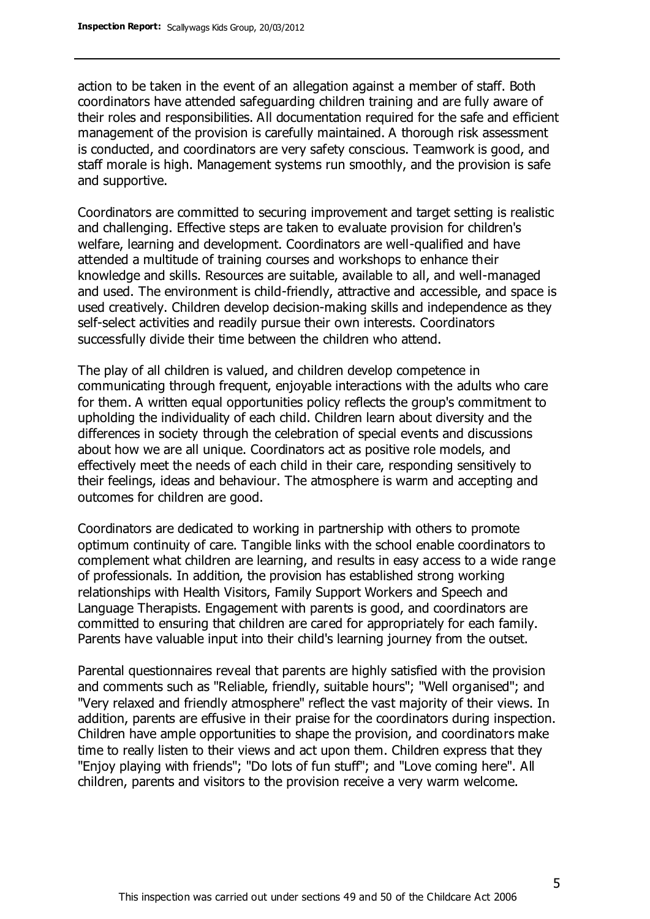action to be taken in the event of an allegation against a member of staff. Both coordinators have attended safeguarding children training and are fully aware of their roles and responsibilities. All documentation required for the safe and efficient management of the provision is carefully maintained. A thorough risk assessment is conducted, and coordinators are very safety conscious. Teamwork is good, and staff morale is high. Management systems run smoothly, and the provision is safe and supportive.

Coordinators are committed to securing improvement and target setting is realistic and challenging. Effective steps are taken to evaluate provision for children's welfare, learning and development. Coordinators are well-qualified and have attended a multitude of training courses and workshops to enhance their knowledge and skills. Resources are suitable, available to all, and well-managed and used. The environment is child-friendly, attractive and accessible, and space is used creatively. Children develop decision-making skills and independence as they self-select activities and readily pursue their own interests. Coordinators successfully divide their time between the children who attend.

The play of all children is valued, and children develop competence in communicating through frequent, enjoyable interactions with the adults who care for them. A written equal opportunities policy reflects the group's commitment to upholding the individuality of each child. Children learn about diversity and the differences in society through the celebration of special events and discussions about how we are all unique. Coordinators act as positive role models, and effectively meet the needs of each child in their care, responding sensitively to their feelings, ideas and behaviour. The atmosphere is warm and accepting and outcomes for children are good.

Coordinators are dedicated to working in partnership with others to promote optimum continuity of care. Tangible links with the school enable coordinators to complement what children are learning, and results in easy access to a wide range of professionals. In addition, the provision has established strong working relationships with Health Visitors, Family Support Workers and Speech and Language Therapists. Engagement with parents is good, and coordinators are committed to ensuring that children are cared for appropriately for each family. Parents have valuable input into their child's learning journey from the outset.

Parental questionnaires reveal that parents are highly satisfied with the provision and comments such as "Reliable, friendly, suitable hours"; "Well organised"; and "Very relaxed and friendly atmosphere" reflect the vast majority of their views. In addition, parents are effusive in their praise for the coordinators during inspection. Children have ample opportunities to shape the provision, and coordinators make time to really listen to their views and act upon them. Children express that they "Enjoy playing with friends"; "Do lots of fun stuff"; and "Love coming here". All children, parents and visitors to the provision receive a very warm welcome.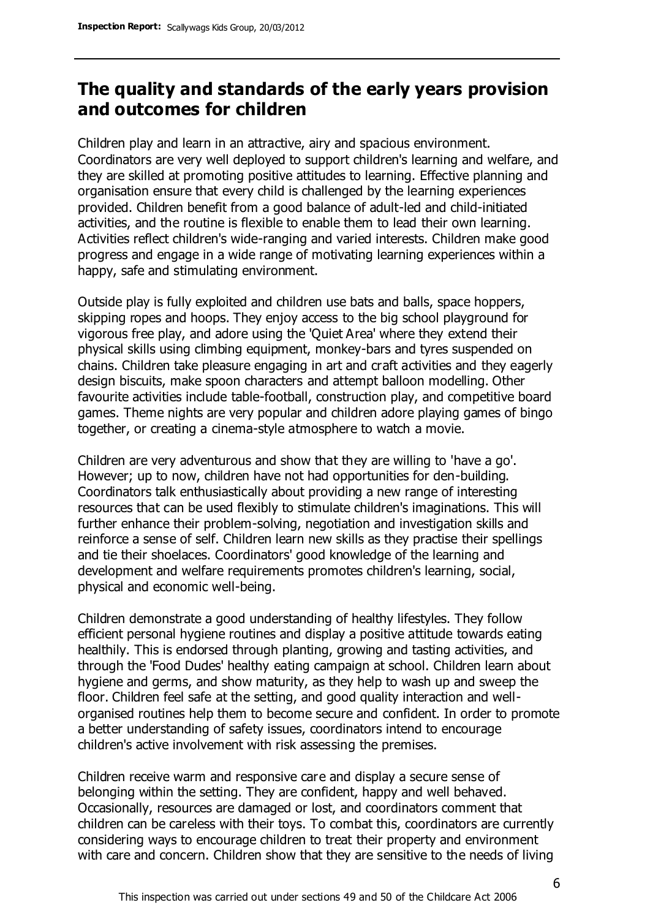## **The quality and standards of the early years provision and outcomes for children**

Children play and learn in an attractive, airy and spacious environment. Coordinators are very well deployed to support children's learning and welfare, and they are skilled at promoting positive attitudes to learning. Effective planning and organisation ensure that every child is challenged by the learning experiences provided. Children benefit from a good balance of adult-led and child-initiated activities, and the routine is flexible to enable them to lead their own learning. Activities reflect children's wide-ranging and varied interests. Children make good progress and engage in a wide range of motivating learning experiences within a happy, safe and stimulating environment.

Outside play is fully exploited and children use bats and balls, space hoppers, skipping ropes and hoops. They enjoy access to the big school playground for vigorous free play, and adore using the 'Quiet Area' where they extend their physical skills using climbing equipment, monkey-bars and tyres suspended on chains. Children take pleasure engaging in art and craft activities and they eagerly design biscuits, make spoon characters and attempt balloon modelling. Other favourite activities include table-football, construction play, and competitive board games. Theme nights are very popular and children adore playing games of bingo together, or creating a cinema-style atmosphere to watch a movie.

Children are very adventurous and show that they are willing to 'have a go'. However; up to now, children have not had opportunities for den-building. Coordinators talk enthusiastically about providing a new range of interesting resources that can be used flexibly to stimulate children's imaginations. This will further enhance their problem-solving, negotiation and investigation skills and reinforce a sense of self. Children learn new skills as they practise their spellings and tie their shoelaces. Coordinators' good knowledge of the learning and development and welfare requirements promotes children's learning, social, physical and economic well-being.

Children demonstrate a good understanding of healthy lifestyles. They follow efficient personal hygiene routines and display a positive attitude towards eating healthily. This is endorsed through planting, growing and tasting activities, and through the 'Food Dudes' healthy eating campaign at school. Children learn about hygiene and germs, and show maturity, as they help to wash up and sweep the floor. Children feel safe at the setting, and good quality interaction and wellorganised routines help them to become secure and confident. In order to promote a better understanding of safety issues, coordinators intend to encourage children's active involvement with risk assessing the premises.

Children receive warm and responsive care and display a secure sense of belonging within the setting. They are confident, happy and well behaved. Occasionally, resources are damaged or lost, and coordinators comment that children can be careless with their toys. To combat this, coordinators are currently considering ways to encourage children to treat their property and environment with care and concern. Children show that they are sensitive to the needs of living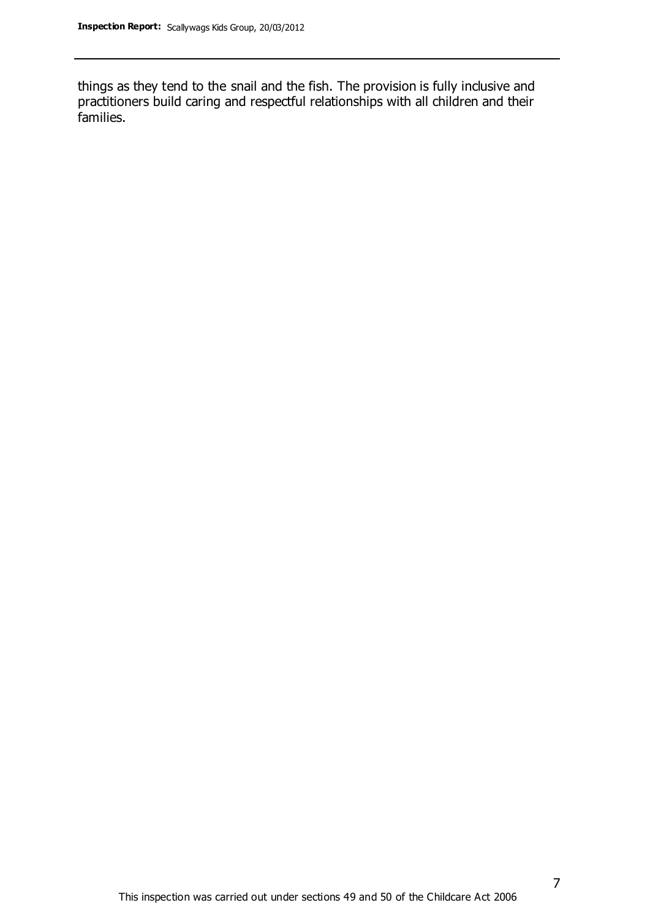things as they tend to the snail and the fish. The provision is fully inclusive and practitioners build caring and respectful relationships with all children and their families.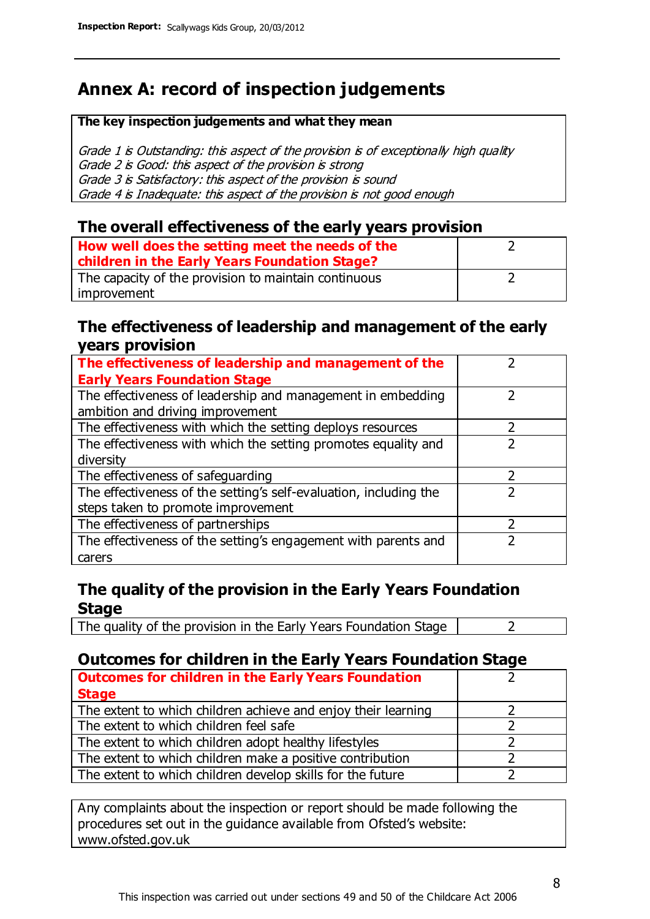# **Annex A: record of inspection judgements**

#### **The key inspection judgements and what they mean**

Grade 1 is Outstanding: this aspect of the provision is of exceptionally high quality Grade 2 is Good: this aspect of the provision is strong Grade 3 is Satisfactory: this aspect of the provision is sound Grade 4 is Inadequate: this aspect of the provision is not good enough

### **The overall effectiveness of the early years provision**

| How well does the setting meet the needs of the<br>children in the Early Years Foundation Stage? |  |
|--------------------------------------------------------------------------------------------------|--|
| The capacity of the provision to maintain continuous                                             |  |
| improvement                                                                                      |  |

### **The effectiveness of leadership and management of the early years provision**

| The effectiveness of leadership and management of the             |  |
|-------------------------------------------------------------------|--|
| <b>Early Years Foundation Stage</b>                               |  |
| The effectiveness of leadership and management in embedding       |  |
| ambition and driving improvement                                  |  |
| The effectiveness with which the setting deploys resources        |  |
| The effectiveness with which the setting promotes equality and    |  |
| diversity                                                         |  |
| The effectiveness of safeguarding                                 |  |
| The effectiveness of the setting's self-evaluation, including the |  |
| steps taken to promote improvement                                |  |
| The effectiveness of partnerships                                 |  |
| The effectiveness of the setting's engagement with parents and    |  |
| carers                                                            |  |

## **The quality of the provision in the Early Years Foundation Stage**

The quality of the provision in the Early Years Foundation Stage  $\vert$  2

## **Outcomes for children in the Early Years Foundation Stage**

| <b>Outcomes for children in the Early Years Foundation</b>    |  |
|---------------------------------------------------------------|--|
| <b>Stage</b>                                                  |  |
| The extent to which children achieve and enjoy their learning |  |
| The extent to which children feel safe                        |  |
| The extent to which children adopt healthy lifestyles         |  |
| The extent to which children make a positive contribution     |  |
| The extent to which children develop skills for the future    |  |

Any complaints about the inspection or report should be made following the procedures set out in the guidance available from Ofsted's website: www.ofsted.gov.uk